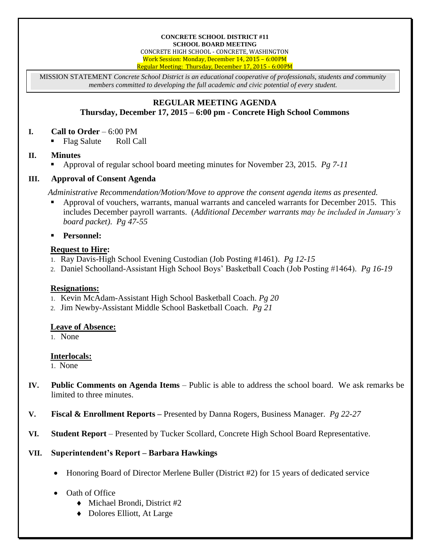#### **CONCRETE SCHOOL DISTRICT #11 SCHOOL BOARD MEETING**

CONCRETE HIGH SCHOOL - CONCRETE, WASHINGTON Work Session: Monday, December 14, 2015 – 6:00PM Regular Meeting: Thursday, December 17, 2015 - 6:00PM

MISSION STATEMENT *Concrete School District is an educational cooperative of professionals, students and community members committed to developing the full academic and civic potential of every student.*

#### **REGULAR MEETING AGENDA Thursday, December 17, 2015 – 6:00 pm - Concrete High School Commons**

#### **I. Call to Order** – 6:00 PM

Flag Salute Roll Call

# **II. Minutes**

Approval of regular school board meeting minutes for November 23, 2015. *Pg 7-11*

# **III. Approval of Consent Agenda**

*Administrative Recommendation/Motion/Move to approve the consent agenda items as presented.*

- Approval of vouchers, warrants, manual warrants and canceled warrants for December 2015. This includes December payroll warrants. (*Additional December warrants may be included in January's board packet)*. *Pg 47-55*
- **Personnel:**

# **Request to Hire:**

- 1. Ray Davis-High School Evening Custodian (Job Posting #1461). *Pg 12-15*
- 2. Daniel Schoolland-Assistant High School Boys' Basketball Coach (Job Posting #1464). *Pg 16-19*

# **Resignations:**

- 1. Kevin McAdam-Assistant High School Basketball Coach. *Pg 20*
- 2. Jim Newby-Assistant Middle School Basketball Coach. *Pg 21*

# **Leave of Absence:**

1. None

# **Interlocals:**

1. None

- **IV. Public Comments on Agenda Items** Public is able to address the school board. We ask remarks be limited to three minutes.
- **V. Fiscal & Enrollment Reports –** Presented by Danna Rogers, Business Manager. *Pg 22-27*
- **VI. Student Report** Presented by Tucker Scollard, Concrete High School Board Representative.

# **VII. Superintendent's Report – Barbara Hawkings**

Honoring Board of Director Merlene Buller (District #2) for 15 years of dedicated service

# Oath of Office

- Michael Brondi, District #2
- ◆ Dolores Elliott, At Large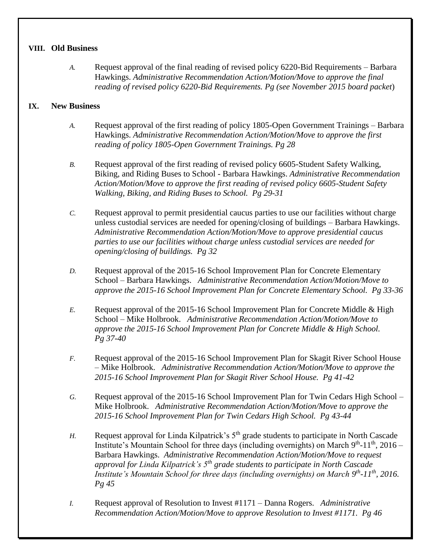#### **VIII. Old Business**

*A.* Request approval of the final reading of revised policy 6220-Bid Requirements – Barbara Hawkings. *Administrative Recommendation Action/Motion/Move to approve the final reading of revised policy 6220-Bid Requirements. Pg (see November 2015 board packet*)

# **IX. New Business**

- *A.* Request approval of the first reading of policy 1805-Open Government Trainings Barbara Hawkings. *Administrative Recommendation Action/Motion/Move to approve the first reading of policy 1805-Open Government Trainings. Pg 28*
- *B.* Request approval of the first reading of revised policy 6605-Student Safety Walking, Biking, and Riding Buses to School - Barbara Hawkings. *Administrative Recommendation Action/Motion/Move to approve the first reading of revised policy 6605-Student Safety Walking, Biking, and Riding Buses to School. Pg 29-31*
- *C.* Request approval to permit presidential caucus parties to use our facilities without charge unless custodial services are needed for opening/closing of buildings – Barbara Hawkings. *Administrative Recommendation Action/Motion/Move to approve presidential caucus parties to use our facilities without charge unless custodial services are needed for opening/closing of buildings. Pg 32*
- *D.* Request approval of the 2015-16 School Improvement Plan for Concrete Elementary School – Barbara Hawkings. *Administrative Recommendation Action/Motion/Move to approve the 2015-16 School Improvement Plan for Concrete Elementary School. Pg 33-36*
- *E.* Request approval of the 2015-16 School Improvement Plan for Concrete Middle & High School – Mike Holbrook. *Administrative Recommendation Action/Motion/Move to approve the 2015-16 School Improvement Plan for Concrete Middle & High School. Pg 37-40*
- *F.* Request approval of the 2015-16 School Improvement Plan for Skagit River School House – Mike Holbrook. *Administrative Recommendation Action/Motion/Move to approve the 2015-16 School Improvement Plan for Skagit River School House. Pg 41-42*
- *G.* Request approval of the 2015-16 School Improvement Plan for Twin Cedars High School Mike Holbrook. *Administrative Recommendation Action/Motion/Move to approve the 2015-16 School Improvement Plan for Twin Cedars High School. Pg 43-44*
- *H.* Request approval for Linda Kilpatrick's  $5<sup>th</sup>$  grade students to participate in North Cascade Institute's Mountain School for three days (including overnights) on March  $9^{th}$ -11<sup>th</sup>, 2016 – Barbara Hawkings. *Administrative Recommendation Action/Motion/Move to request approval for Linda Kilpatrick's 5th grade students to participate in North Cascade Institute's Mountain School for three days (including overnights) on March 9<sup>th</sup>-11<sup>th</sup>, 2016. Pg 45*
- *I.* Request approval of Resolution to Invest #1171 Danna Rogers. *Administrative Recommendation Action/Motion/Move to approve Resolution to Invest #1171. Pg 46*